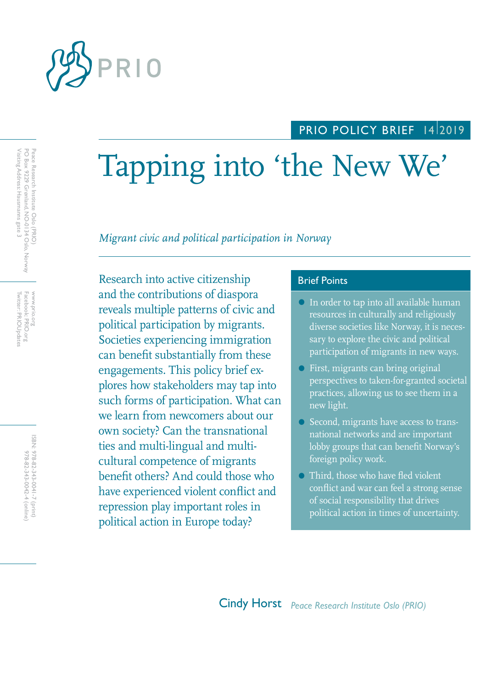

## PRIO POLICY BRIEF 1412019

# Tapping into 'the New We'

*Migrant civic and political participation in Norway*

Research into active citizenship **Brief Points** and the contributions of diaspora reveals multiple patterns of civic and political participation by migrants. Societies experiencing immigration can benefit substantially from these engagements. This policy brief explores how stakeholders may tap into such forms of participation. What can we learn from newcomers about our own society? Can the transnational ties and multi-lingual and multicultural competence of migrants benefit others? And could those who have experienced violent conflict and repression play important roles in political action in Europe today?

- In order to tap into all available human resources in culturally and religiously diverse societies like Norway, it is necessary to explore the civic and political participation of migrants in new ways.
- First, migrants can bring original perspectives to taken-for-granted societal practices, allowing us to see them in a new light.
- Second, migrants have access to transnational networks and are important lobby groups that can benefit Norway's foreign policy work.
- Third, those who have fled violent conflict and war can feel a strong sense of social responsibility that drives political action in times of uncertainty.

Twitter: PRIOUpdates Facebook: PRIO.org Twitter: PRIOUpdates Facebook: PRIO.org www.prio.org www.prio.org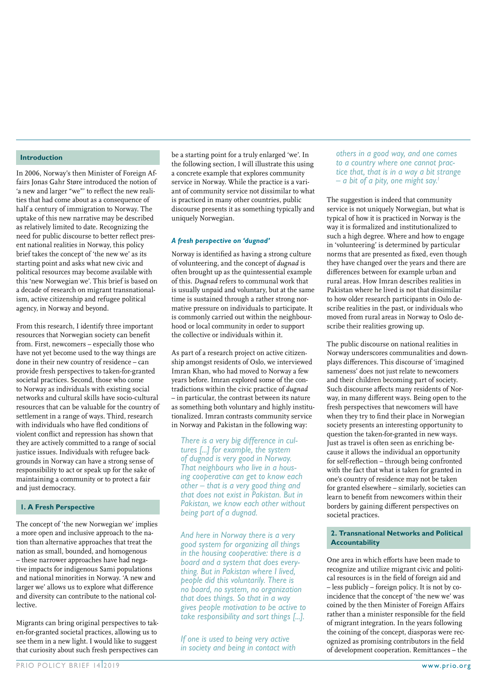#### **Introduction**

In 2006, Norway's then Minister of Foreign Affairs Jonas Gahr Støre introduced the notion of 'a new and larger "we"' to reflect the new realities that had come about as a consequence of half a century of immigration to Norway. The uptake of this new narrative may be described as relatively limited to date. Recognizing the need for public discourse to better reflect present national realities in Norway, this policy brief takes the concept of 'the new we' as its starting point and asks what new civic and political resources may become available with this 'new Norwegian we'. This brief is based on a decade of research on migrant transnationalism, active citizenship and refugee political agency, in Norway and beyond.

From this research, I identify three important resources that Norwegian society can benefit from. First, newcomers – especially those who have not yet become used to the way things are done in their new country of residence – can provide fresh perspectives to taken-for-granted societal practices. Second, those who come to Norway as individuals with existing social networks and cultural skills have socio-cultural resources that can be valuable for the country of settlement in a range of ways. Third, research with individuals who have fled conditions of violent conflict and repression has shown that they are actively committed to a range of social justice issues. Individuals with refugee backgrounds in Norway can have a strong sense of responsibility to act or speak up for the sake of maintaining a community or to protect a fair and just democracy.

#### **1. A Fresh Perspective**

The concept of 'the new Norwegian we' implies a more open and inclusive approach to the nation than alternative approaches that treat the nation as small, bounded, and homogenous – these narrower approaches have had negative impacts for indigenous Sami populations and national minorities in Norway. 'A new and larger we' allows us to explore what difference and diversity can contribute to the national collective.

Migrants can bring original perspectives to taken-for-granted societal practices, allowing us to see them in a new light. I would like to suggest that curiosity about such fresh perspectives can

be a starting point for a truly enlarged 'we'. In the following section, I will illustrate this using a concrete example that explores community service in Norway. While the practice is a variant of community service not dissimilar to what is practiced in many other countries, public discourse presents it as something typically and uniquely Norwegian.

#### *A fresh perspective on 'dugnad'*

Norway is identified as having a strong culture of volunteering, and the concept of *dugnad* is often brought up as the quintessential example of this. *Dugnad* refers to communal work that is usually unpaid and voluntary, but at the same time is sustained through a rather strong normative pressure on individuals to participate. It is commonly carried out within the neighbourhood or local community in order to support the collective or individuals within it.

As part of a research project on active citizenship amongst residents of Oslo, we interviewed Imran Khan, who had moved to Norway a few years before. Imran explored some of the contradictions within the civic practice of *dugnad* – in particular, the contrast between its nature as something both voluntary and highly institutionalized. Imran contrasts community service in Norway and Pakistan in the following way:

*There is a very big difference in cul tures [...] for example, the system of dugnad is very good in Norway. That neighbours who live in a hous ing cooperative can get to know each other – that is a very good thing and that does not exist in Pakistan. But in Pakistan, we know each other without being part of a dugnad.*

*And here in Norway there is a very good system for organizing all things in the housing cooperative: there is a board and a system that does everything. But in Pakistan where I lived, people did this voluntarily. There is no board, no system, no organization that does things. So that in a way gives people motivation to be active to take responsibility and sort things [...].*

*If one is used to being very active in society and being in contact with*  *others in a good way, and one comes to a country where one cannot practice that, that is in a way a bit strange – a bit of a pity, one might say.1*

The suggestion is indeed that community service is not uniquely Norwegian, but what is typical of how it is practiced in Norway is the way it is formalized and institutionalized to such a high degree. Where and how to engage in 'volunteering' is determined by particular norms that are presented as fixed, even though they have changed over the years and there are differences between for example urban and rural areas. How Imran describes realities in Pakistan where he lived is not that dissimilar to how older research participants in Oslo describe realities in the past, or individuals who moved from rural areas in Norway to Oslo describe their realities growing up.

The public discourse on national realities in Norway underscores communalities and downplays differences. This discourse of 'imagined sameness' does not just relate to newcomers and their children becoming part of society. Such discourse affects many residents of Norway, in many different ways. Being open to the fresh perspectives that newcomers will have when they try to find their place in Norwegian society presents an interesting opportunity to question the taken-for-granted in new ways. Just as travel is often seen as enriching because it allows the individual an opportunity for self-reflection – through being confronted with the fact that what is taken for granted in one's country of residence may not be taken for granted elsewhere – similarly, societies can learn to benefit from newcomers within their borders by gaining different perspectives on societal practices.

#### **2. Transnational Networks and Political Accountability**

One area in which efforts have been made to recognize and utilize migrant civic and political resources is in the field of foreign aid and – less publicly – foreign policy. It is not by coincidence that the concept of 'the new we' was coined by the then Minister of Foreign Affairs rather than a minister responsible for the field of migrant integration. In the years following the coining of the concept, diasporas were recognized as promising contributors in the field of development cooperation. Remittances – the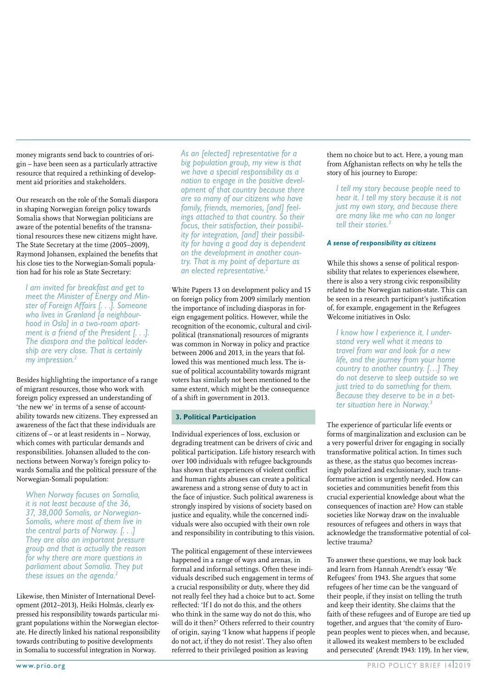money migrants send back to countries of origin – have been seen as a particularly attractive resource that required a rethinking of development aid priorities and stakeholders.

Our research on the role of the Somali diaspora in shaping Norwegian foreign policy towards Somalia shows that Norwegian politicians are aware of the potential benefits of the transnational resources these new citizens might have. The State Secretary at the time (2005–2009), Raymond Johansen, explained the benefits that his close ties to the Norwegian-Somali population had for his role as State Secretary:

*I am invited for breakfast and get to meet the Minister of Energy and Minster of Foreign Affairs [. . .]. Someone who lives in Grønland [a neighbour hood in Oslo] in a two-room apart ment is a friend of the President [. . .]. The diaspora and the political leadership are very close. That is certainly my impression.2*

Besides highlighting the importance of a range of migrant resources, those who work with foreign policy expressed an understanding of 'the new we' in terms of a sense of accountability towards new citizens. They expressed an awareness of the fact that these individuals are citizens of – or at least residents in – Norway, which comes with particular demands and responsibilities. Johansen alluded to the connections between Norway's foreign policy towards Somalia and the political pressure of the Norwegian-Somali population:

*When Norway focuses on Somalia, it is not least because of the 36, 37, 38,000 Somalis, or Norwegian-Somalis, where most of them live in the central parts of Norway. [. . .] They are also an important pressure group and that is actually the reason for why there are more questions in parliament about Somalia. They put these issues on the agenda.2*

Likewise, then Minister of International Development (2012–2013), Heiki Holmås, clearly expressed his responsibility towards particular migrant populations within the Norwegian electorate. He directly linked his national responsibility towards contributing to positive developments in Somalia to successful integration in Norway.

*As an [elected] representative for a big population group, my view is that we have a special responsibility as a nation to engage in the positive development of that country because there are so many of our citizens who have family, friends, memories, [and] feelings attached to that country. So their focus, their satisfaction, their possibility for integration, [and] their possibility for having a good day is dependent on the development in another country. That is my point of departure as an elected representative.2*

White Papers 13 on development policy and 15 on foreign policy from 2009 similarly mention the importance of including diasporas in foreign engagement politics. However, while the recognition of the economic, cultural and civilpolitical (transnational) resources of migrants was common in Norway in policy and practice between 2006 and 2013, in the years that followed this was mentioned much less. The issue of political accountability towards migrant voters has similarly not been mentioned to the same extent, which might be the consequence of a shift in government in 2013.

#### **3. Political Participation**

Individual experiences of loss, exclusion or degrading treatment can be drivers of civic and political participation. Life history research with over 100 individuals with refugee backgrounds has shown that experiences of violent conflict and human rights abuses can create a political awareness and a strong sense of duty to act in the face of injustice. Such political awareness is strongly inspired by visions of society based on justice and equality, while the concerned individuals were also occupied with their own role and responsibility in contributing to this vision.

The political engagement of these interviewees happened in a range of ways and arenas, in formal and informal settings. Often these individuals described such engagement in terms of a crucial responsibility or duty, where they did not really feel they had a choice but to act. Some reflected: 'If I do not do this, and the others who think in the same way do not do this, who will do it then?' Others referred to their country of origin, saying 'I know what happens if people do not act, if they do not resist'. They also often referred to their privileged position as leaving

them no choice but to act. Here, a young man from Afghanistan reflects on why he tells the story of his journey to Europe:

*I tell my story because people need to hear it. I tell my story because it is not just my own story, and because there are many like me who can no longer tell their stories.3*

#### *A sense of responsibility as citizens*

While this shows a sense of political responsibility that relates to experiences elsewhere, there is also a very strong civic responsibility related to the Norwegian nation-state. This can be seen in a research participant's justification of, for example, engagement in the Refugees Welcome initiatives in Oslo:

*I know how I experience it. I under stand very well what it means to travel from war and look for a new life, and the journey from your home country to another country. […] They do not deserve to sleep outside so we just tried to do something for them. Because they deserve to be in a bet ter situation here in Norway.3*

The experience of particular life events or forms of marginalization and exclusion can be a very powerful driver for engaging in socially transformative political action. In times such as these, as the status quo becomes increasingly polarized and exclusionary, such transformative action is urgently needed. How can societies and communities benefit from this crucial experiential knowledge about what the consequences of inaction are? How can stable societies like Norway draw on the invaluable resources of refugees and others in ways that acknowledge the transformative potential of collective trauma?

To answer these questions, we may look back and learn from Hannah Arendt's essay 'We Refugees' from 1943. She argues that some refugees of her time can be the vanguard of their people, if they insist on telling the truth and keep their identity. She claims that the faith of these refugees and of Europe are tied up together, and argues that 'the comity of European peoples went to pieces when, and because, it allowed its weakest members to be excluded and persecuted' (Arendt 1943: 119). In her view,